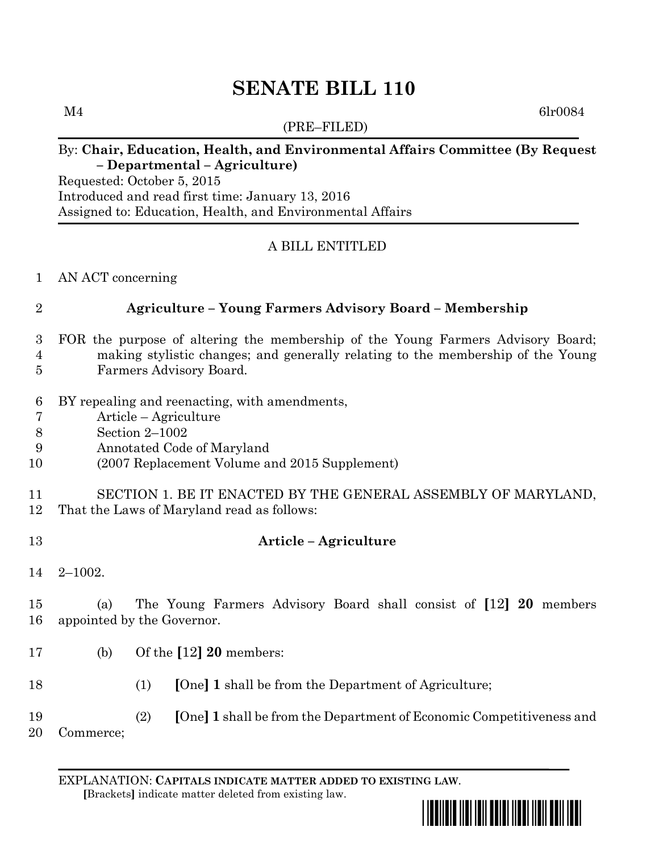# **SENATE BILL 110**

 $M4$  6lr0084

## (PRE–FILED)

# By: **Chair, Education, Health, and Environmental Affairs Committee (By Request – Departmental – Agriculture)**

Requested: October 5, 2015 Introduced and read first time: January 13, 2016 Assigned to: Education, Health, and Environmental Affairs

# A BILL ENTITLED

## AN ACT concerning

## **Agriculture – Young Farmers Advisory Board – Membership**

 FOR the purpose of altering the membership of the Young Farmers Advisory Board; making stylistic changes; and generally relating to the membership of the Young

- Farmers Advisory Board.
- BY repealing and reenacting, with amendments,
- Article Agriculture
- Section 2–1002
- Annotated Code of Maryland
- (2007 Replacement Volume and 2015 Supplement)

SECTION 1. BE IT ENACTED BY THE GENERAL ASSEMBLY OF MARYLAND,

- That the Laws of Maryland read as follows:
- **Article – Agriculture**
- 2–1002.

 (a) The Young Farmers Advisory Board shall consist of **[**12**] 20** members appointed by the Governor.

- (b) Of the **[**12**] 20** members:
- (1) **[**One**] 1** shall be from the Department of Agriculture;

 (2) **[**One**] 1** shall be from the Department of Economic Competitiveness and Commerce;

EXPLANATION: **CAPITALS INDICATE MATTER ADDED TO EXISTING LAW**.  **[**Brackets**]** indicate matter deleted from existing law.

\*sb0110\*